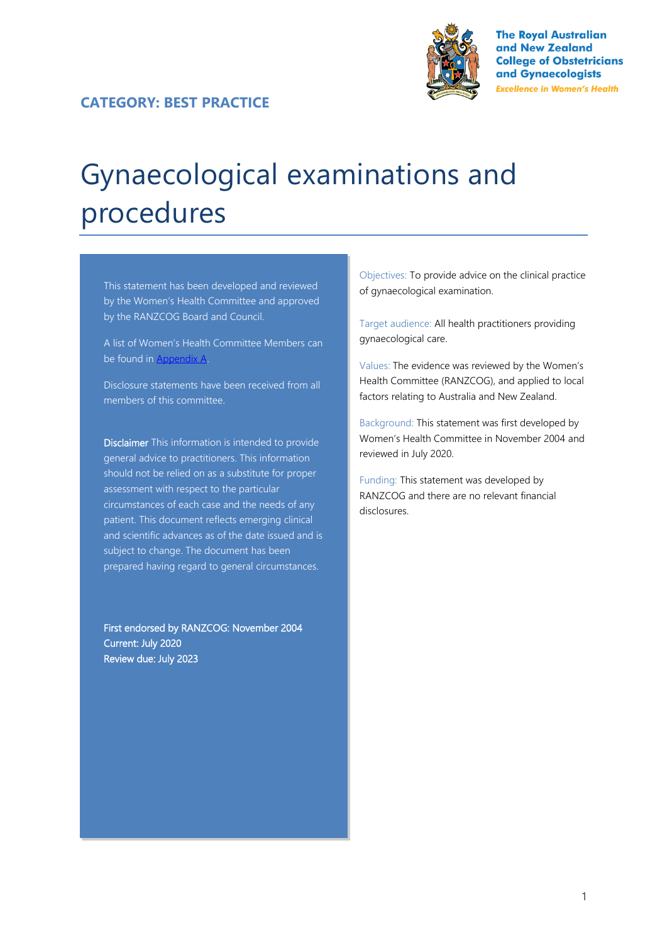

**The Royal Australian** and New Zealand **College of Obstetricians** and Gynaecologists **Excellence in Women's Health** 

# Gynaecological examinations and procedures

This statement has been developed and reviewed by the Women's Health Committee and approved by the RANZCOG Board and Council.

A list of Women's Health Committee Members can be found in Appendix A.

Disclosure statements have been received from all members of this committee.

Disclaimer This information is intended to provide general advice to practitioners. This information should not be relied on as a substitute for proper assessment with respect to the particular circumstances of each case and the needs of any patient. This document reflects emerging clinical and scientific advances as of the date issued and is subject to change. The document has been prepared having regard to general circumstances.

First endorsed by RANZCOG: November 2004 Current: July 2020 Review due: July 2023

Objectives: To provide advice on the clinical practice of gynaecological examination.

Target audience: All health practitioners providing gynaecological care.

Values: The evidence was reviewed by the Women's Health Committee (RANZCOG), and applied to local factors relating to Australia and New Zealand.

Background: This statement was first developed by Women's Health Committee in November 2004 and reviewed in July 2020.

Funding: This statement was developed by RANZCOG and there are no relevant financial disclosures.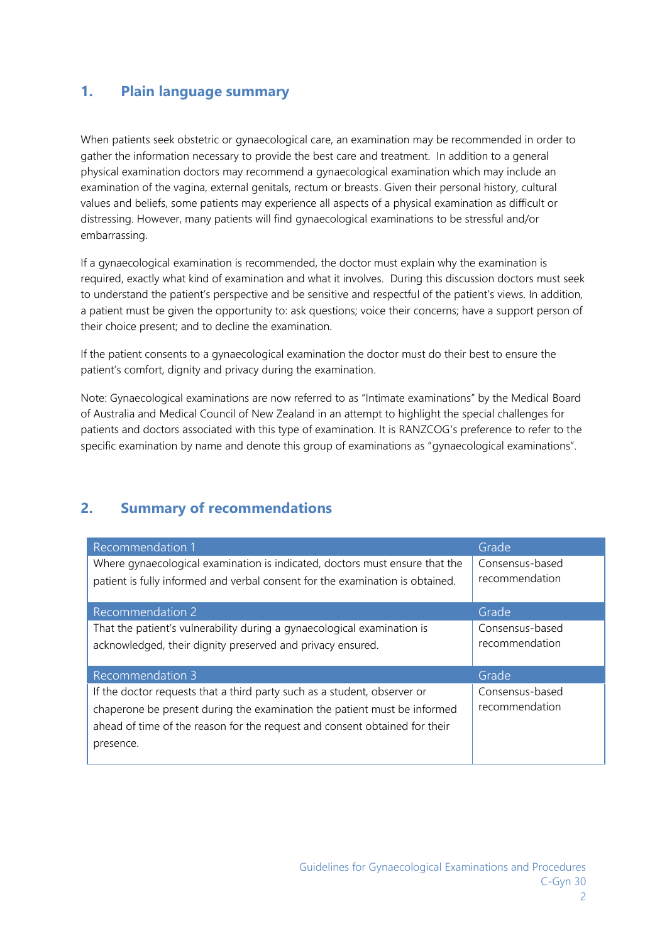### **1. Plain language summary**

When patients seek obstetric or gynaecological care, an examination may be recommended in order to gather the information necessary to provide the best care and treatment. In addition to a general physical examination doctors may recommend a gynaecological examination which may include an examination of the vagina, external genitals, rectum or breasts. Given their personal history, cultural values and beliefs, some patients may experience all aspects of a physical examination as difficult or distressing. However, many patients will find gynaecological examinations to be stressful and/or embarrassing.

If a gynaecological examination is recommended, the doctor must explain why the examination is required, exactly what kind of examination and what it involves. During this discussion doctors must seek to understand the patient's perspective and be sensitive and respectful of the patient's views. In addition, a patient must be given the opportunity to: ask questions; voice their concerns; have a support person of their choice present; and to decline the examination.

If the patient consents to a gynaecological examination the doctor must do their best to ensure the patient's comfort, dignity and privacy during the examination.

Note: Gynaecological examinations are now referred to as "Intimate examinations" by the Medical Board of Australia and Medical Council of New Zealand in an attempt to highlight the special challenges for patients and doctors associated with this type of examination. It is RANZCOG's preference to refer to the specific examination by name and denote this group of examinations as "gynaecological examinations".

## **2. Summary of recommendations**

| Recommendation 1                                                              | Grade           |
|-------------------------------------------------------------------------------|-----------------|
| Where gynaecological examination is indicated, doctors must ensure that the   | Consensus-based |
| patient is fully informed and verbal consent for the examination is obtained. | recommendation  |
|                                                                               |                 |
| Recommendation 2                                                              | Grade           |
| That the patient's vulnerability during a gynaecological examination is       | Consensus-based |
| acknowledged, their dignity preserved and privacy ensured.                    | recommendation  |
|                                                                               |                 |
| Recommendation 3                                                              | Grade           |
| If the doctor requests that a third party such as a student, observer or      | Consensus-based |
| chaperone be present during the examination the patient must be informed      | recommendation  |
| ahead of time of the reason for the request and consent obtained for their    |                 |
| presence.                                                                     |                 |
|                                                                               |                 |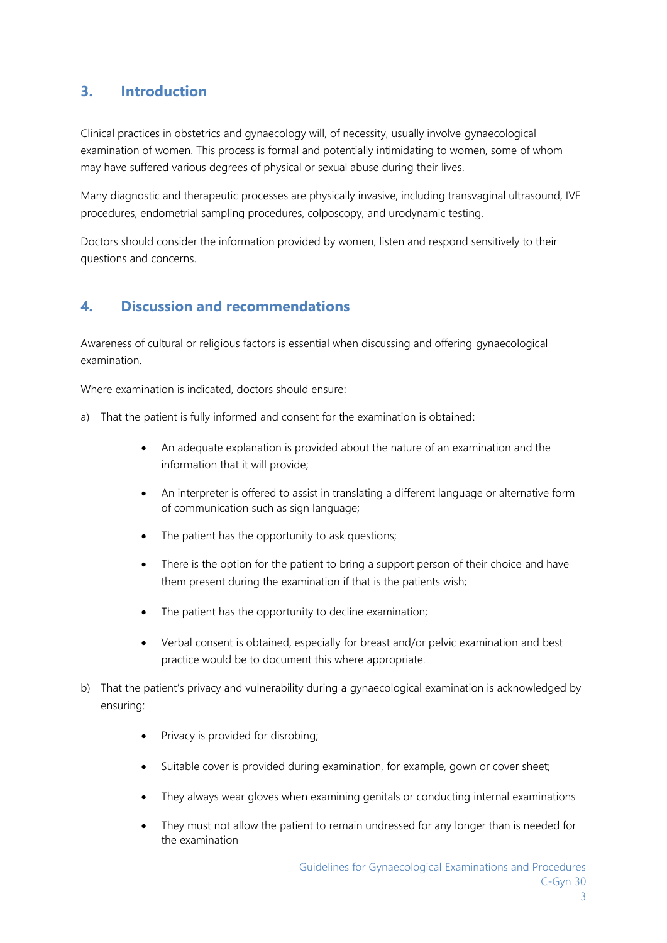## **3. Introduction**

Clinical practices in obstetrics and gynaecology will, of necessity, usually involve gynaecological examination of women. This process is formal and potentially intimidating to women, some of whom may have suffered various degrees of physical or sexual abuse during their lives.

Many diagnostic and therapeutic processes are physically invasive, including transvaginal ultrasound, IVF procedures, endometrial sampling procedures, colposcopy, and urodynamic testing.

Doctors should consider the information provided by women, listen and respond sensitively to their questions and concerns.

# **4. Discussion and recommendations**

Awareness of cultural or religious factors is essential when discussing and offering gynaecological examination.

Where examination is indicated, doctors should ensure:

- a) That the patient is fully informed and consent for the examination is obtained:
	- An adequate explanation is provided about the nature of an examination and the information that it will provide;
	- An interpreter is offered to assist in translating a different language or alternative form of communication such as sign language;
	- The patient has the opportunity to ask questions;
	- There is the option for the patient to bring a support person of their choice and have them present during the examination if that is the patients wish;
	- The patient has the opportunity to decline examination;
	- Verbal consent is obtained, especially for breast and/or pelvic examination and best practice would be to document this where appropriate.
- b) That the patient's privacy and vulnerability during a gynaecological examination is acknowledged by ensuring:
	- Privacy is provided for disrobing;
	- Suitable cover is provided during examination, for example, gown or cover sheet;
	- They always wear gloves when examining genitals or conducting internal examinations
	- They must not allow the patient to remain undressed for any longer than is needed for the examination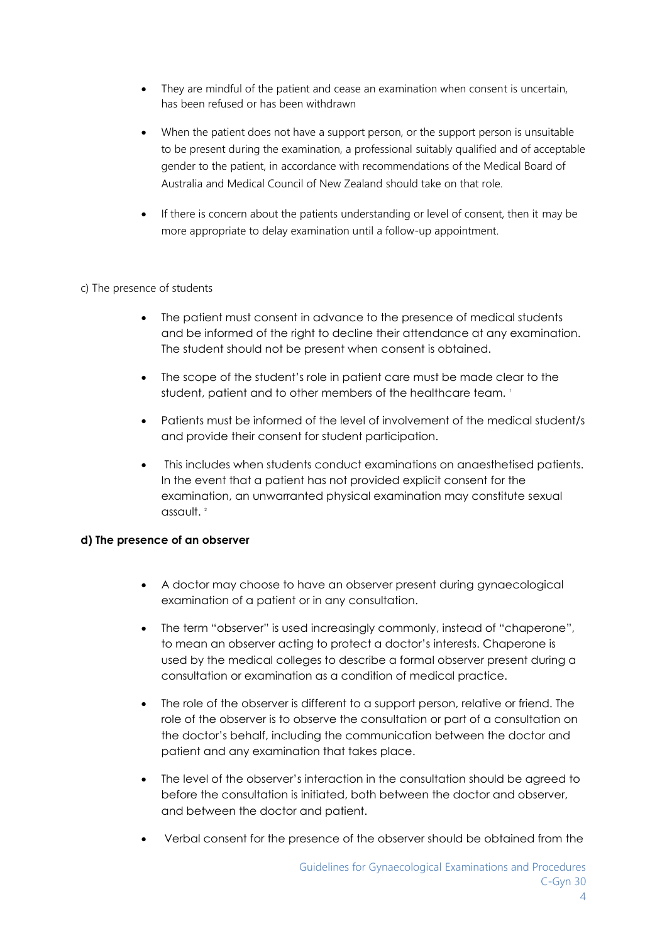- They are mindful of the patient and cease an examination when consent is uncertain, has been refused or has been withdrawn
- When the patient does not have a support person, or the support person is unsuitable to be present during the examination, a professional suitably qualified and of acceptable gender to the patient, in accordance with recommendations of the Medical Board of Australia and Medical Council of New Zealand should take on that role.
- If there is concern about the patients understanding or level of consent, then it may be more appropriate to delay examination until a follow-up appointment.

#### c) The presence of students

- The patient must consent in advance to the presence of medical students and be informed of the right to decline their attendance at any examination. The student should not be present when consent is obtained.
- The scope of the student's role in patient care must be made clear to the student, patient and to other members of the healthcare team. 1
- Patients must be informed of the level of involvement of the medical student/s and provide their consent for student participation.
- This includes when students conduct examinations on anaesthetised patients. In the event that a patient has not provided explicit consent for the examination, an unwarranted physical examination may constitute sexual assault.<sup>2</sup>

#### **d) The presence of an observer**

- A doctor may choose to have an observer present during gynaecological examination of a patient or in any consultation.
- The term "observer" is used increasingly commonly, instead of "chaperone", to mean an observer acting to protect a doctor's interests. Chaperone is used by the medical colleges to describe a formal observer present during a consultation or examination as a condition of medical practice.
- The role of the observer is different to a support person, relative or friend. The role of the observer is to observe the consultation or part of a consultation on the doctor's behalf, including the communication between the doctor and patient and any examination that takes place.
- The level of the observer's interaction in the consultation should be agreed to before the consultation is initiated, both between the doctor and observer, and between the doctor and patient.
- Verbal consent for the presence of the observer should be obtained from the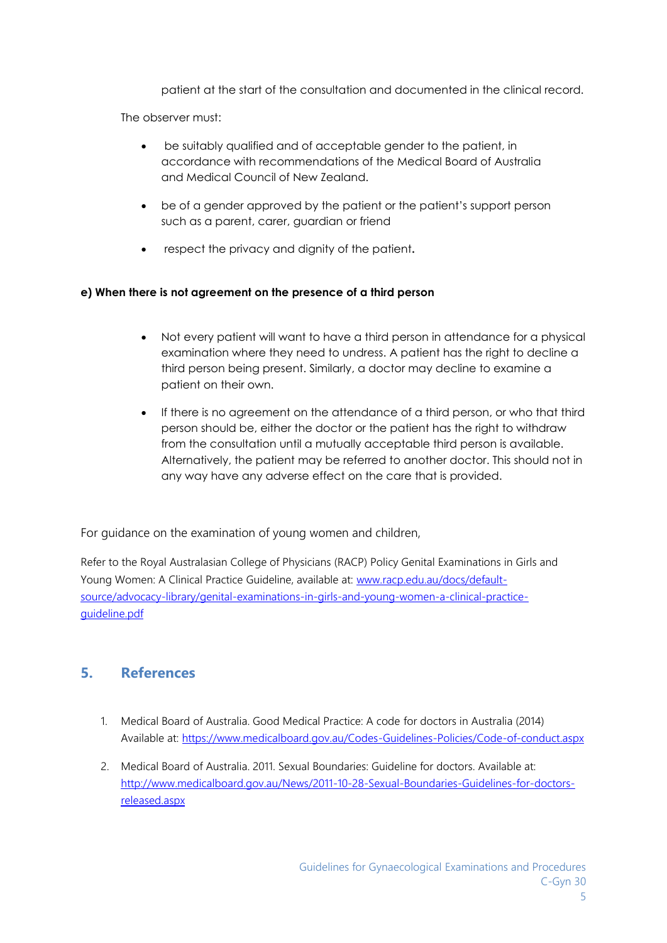patient at the start of the consultation and documented in the clinical record.

The observer must:

- be suitably qualified and of acceptable gender to the patient, in accordance with recommendations of the Medical Board of Australia and Medical Council of New Zealand.
- be of a gender approved by the patient or the patient's support person such as a parent, carer, guardian or friend
- respect the privacy and dignity of the patient**.**

#### **e) When there is not agreement on the presence of a third person**

- Not every patient will want to have a third person in attendance for a physical examination where they need to undress. A patient has the right to decline a third person being present. Similarly, a doctor may decline to examine a patient on their own.
- If there is no agreement on the attendance of a third person, or who that third person should be, either the doctor or the patient has the right to withdraw from the consultation until a mutually acceptable third person is available. Alternatively, the patient may be referred to another doctor. This should not in any way have any adverse effect on the care that is provided.

For guidance on the examination of young women and children,

Refer to the Royal Australasian College of Physicians (RACP) Policy Genital Examinations in Girls and Young Women: A Clinical Practice Guideline, available at: [www.racp.edu.au/docs/default](http://www.racp.edu.au/docs/default-source/advocacy-library/genital-examinations-in-girls-and-young-women-a-clinical-practice-guideline.pdf)[source/advocacy-library/genital-examinations-in-girls-and-young-women-a-clinical-practice](http://www.racp.edu.au/docs/default-source/advocacy-library/genital-examinations-in-girls-and-young-women-a-clinical-practice-guideline.pdf)[guideline.pdf](http://www.racp.edu.au/docs/default-source/advocacy-library/genital-examinations-in-girls-and-young-women-a-clinical-practice-guideline.pdf)

## **5. References**

- 1. Medical Board of Australia. Good Medical Practice: A code for doctors in Australia (2014) Available at:<https://www.medicalboard.gov.au/Codes-Guidelines-Policies/Code-of-conduct.aspx>
- 2. Medical Board of Australia. 2011. Sexual Boundaries: Guideline for doctors. Available at: [http://www.medicalboard.gov.au/News/2011-10-28-Sexual-Boundaries-Guidelines-for-doctors](http://www.medicalboard.gov.au/News/2011-10-28-Sexual-Boundaries-Guidelines-for-doctors-released.aspx)[released.aspx](http://www.medicalboard.gov.au/News/2011-10-28-Sexual-Boundaries-Guidelines-for-doctors-released.aspx)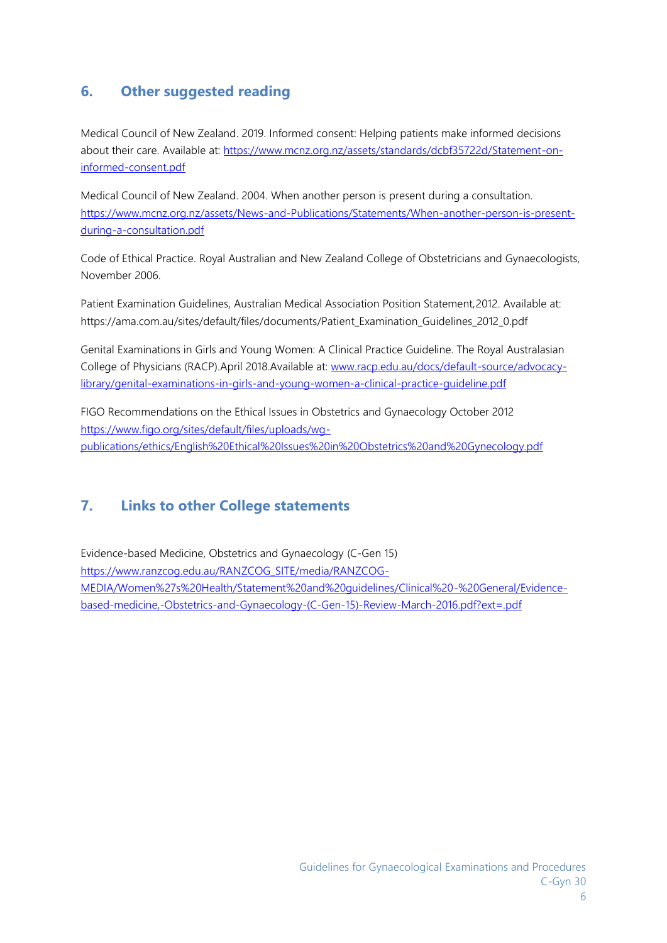# **6. Other suggested reading**

Medical Council of New Zealand. 2019. Informed consent: Helping patients make informed decisions about their care. Available at: [https://www.mcnz.org.nz/assets/standards/dcbf35722d/Statement-on](https://www.mcnz.org.nz/assets/standards/dcbf35722d/Statement-on-informed-consent.pdf)[informed-consent.pdf](https://www.mcnz.org.nz/assets/standards/dcbf35722d/Statement-on-informed-consent.pdf)

Medical Council of New Zealand. 2004. When another person is present during a consultation. [https://www.mcnz.org.nz/assets/News-and-Publications/Statements/When-another-person-is-present](https://www.mcnz.org.nz/assets/News-and-Publications/Statements/When-another-person-is-present-during-a-consultation.pdf)[during-a-consultation.pdf](https://www.mcnz.org.nz/assets/News-and-Publications/Statements/When-another-person-is-present-during-a-consultation.pdf)

Code of Ethical Practice. Royal Australian and New Zealand College of Obstetricians and Gynaecologists, November 2006.

Patient Examination Guidelines, Australian Medical Association Position Statement,2012. Available at: https://ama.com.au/sites/default/files/documents/Patient\_Examination\_Guidelines\_2012\_0.pdf

Genital Examinations in Girls and Young Women: A Clinical Practice Guideline. The Royal Australasian College of Physicians (RACP).April 2018.Available at: [www.racp.edu.au/docs/default-source/advocacy](http://www.racp.edu.au/docs/default-source/advocacy-library/genital-examinations-in-girls-and-young-women-a-clinical-practice-guideline.pdf)[library/genital-examinations-in-girls-and-young-women-a-clinical-practice-guideline.pdf](http://www.racp.edu.au/docs/default-source/advocacy-library/genital-examinations-in-girls-and-young-women-a-clinical-practice-guideline.pdf)

FIGO Recommendations on the Ethical Issues in Obstetrics and Gynaecology October 2012 [https://www.figo.org/sites/default/files/uploads/wg](https://www.figo.org/sites/default/files/uploads/wg-publications/ethics/English%20Ethical%20Issues%20in%20Obstetrics%20and%20Gynecology.pdf)[publications/ethics/English%20Ethical%20Issues%20in%20Obstetrics%20and%20Gynecology.pdf](https://www.figo.org/sites/default/files/uploads/wg-publications/ethics/English%20Ethical%20Issues%20in%20Obstetrics%20and%20Gynecology.pdf)

# **7. Links to other College statements**

Evidence-based Medicine, Obstetrics and Gynaecology (C-Gen 15) [https://www.ranzcog.edu.au/RANZCOG\\_SITE/media/RANZCOG-](https://www.ranzcog.edu.au/RANZCOG_SITE/media/RANZCOG-MEDIA/Women%27s%20Health/Statement%20and%20guidelines/Clinical%20-%20General/Evidence-based-medicine,-Obstetrics-and-Gynaecology-(C-Gen-15)-Review-March-2016.pdf?ext=.pdf)[MEDIA/Women%27s%20Health/Statement%20and%20guidelines/Clinical%20-%20General/Evidence](https://www.ranzcog.edu.au/RANZCOG_SITE/media/RANZCOG-MEDIA/Women%27s%20Health/Statement%20and%20guidelines/Clinical%20-%20General/Evidence-based-medicine,-Obstetrics-and-Gynaecology-(C-Gen-15)-Review-March-2016.pdf?ext=.pdf)[based-medicine,-Obstetrics-and-Gynaecology-\(C-Gen-15\)-Review-March-2016.pdf?ext=.pdf](https://www.ranzcog.edu.au/RANZCOG_SITE/media/RANZCOG-MEDIA/Women%27s%20Health/Statement%20and%20guidelines/Clinical%20-%20General/Evidence-based-medicine,-Obstetrics-and-Gynaecology-(C-Gen-15)-Review-March-2016.pdf?ext=.pdf)